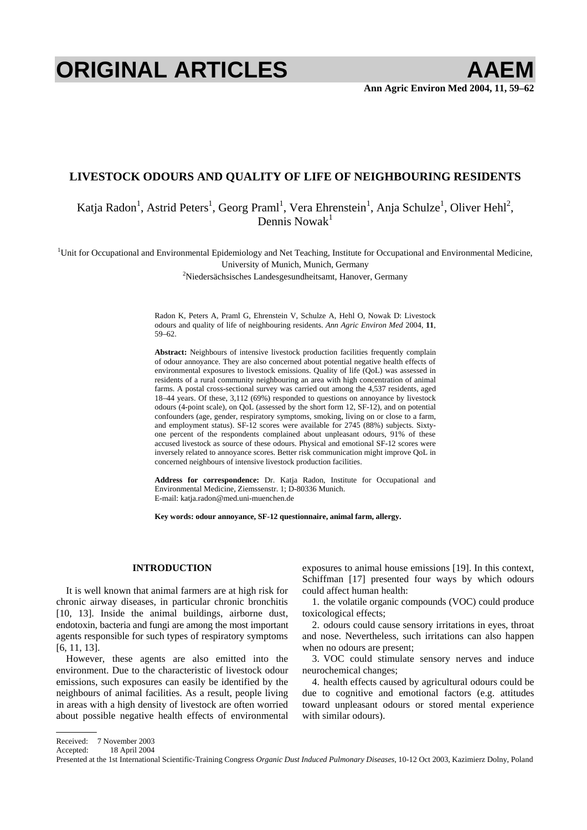# **ORIGINAL ARTICLES AAEM**

# **LIVESTOCK ODOURS AND QUALITY OF LIFE OF NEIGHBOURING RESIDENTS**

Katja Radon<sup>1</sup>, Astrid Peters<sup>1</sup>, Georg Praml<sup>1</sup>, Vera Ehrenstein<sup>1</sup>, Anja Schulze<sup>1</sup>, Oliver Hehl<sup>2</sup>, Dennis Nowak $1$ 

<sup>1</sup>Unit for Occupational and Environmental Epidemiology and Net Teaching, Institute for Occupational and Environmental Medicine, University of Munich, Munich, Germany 2

<sup>2</sup>Niedersächsisches Landesgesundheitsamt, Hanover, Germany

Radon K, Peters A, Praml G, Ehrenstein V, Schulze A, Hehl O, Nowak D: Livestock odours and quality of life of neighbouring residents. *Ann Agric Environ Med* 2004, **11**, 59–62.

**Abstract:** Neighbours of intensive livestock production facilities frequently complain of odour annoyance. They are also concerned about potential negative health effects of environmental exposures to livestock emissions. Quality of life (QoL) was assessed in residents of a rural community neighbouring an area with high concentration of animal farms. A postal cross-sectional survey was carried out among the 4,537 residents, aged 18–44 years. Of these, 3,112 (69%) responded to questions on annoyance by livestock odours (4-point scale), on QoL (assessed by the short form 12, SF-12), and on potential confounders (age, gender, respiratory symptoms, smoking, living on or close to a farm, and employment status). SF-12 scores were available for 2745 (88%) subjects. Sixtyone percent of the respondents complained about unpleasant odours, 91% of these accused livestock as source of these odours. Physical and emotional SF-12 scores were inversely related to annoyance scores. Better risk communication might improve QoL in concerned neighbours of intensive livestock production facilities.

**Address for correspondence:** Dr. Katja Radon, Institute for Occupational and Environmental Medicine, Ziemssenstr. 1; D-80336 Munich. E-mail: katja.radon@med.uni-muenchen.de

**Key words: odour annoyance, SF-12 questionnaire, animal farm, allergy.** 

# **INTRODUCTION**

It is well known that animal farmers are at high risk for chronic airway diseases, in particular chronic bronchitis [10, 13]. Inside the animal buildings, airborne dust, endotoxin, bacteria and fungi are among the most important agents responsible for such types of respiratory symptoms [6, 11, 13].

However, these agents are also emitted into the environment. Due to the characteristic of livestock odour emissions, such exposures can easily be identified by the neighbours of animal facilities. As a result, people living in areas with a high density of livestock are often worried about possible negative health effects of environmental exposures to animal house emissions [19]. In this context, Schiffman [17] presented four ways by which odours could affect human health:

1. the volatile organic compounds (VOC) could produce toxicological effects;

2. odours could cause sensory irritations in eyes, throat and nose. Nevertheless, such irritations can also happen when no odours are present;

3. VOC could stimulate sensory nerves and induce neurochemical changes;

4. health effects caused by agricultural odours could be due to cognitive and emotional factors (e.g. attitudes toward unpleasant odours or stored mental experience with similar odours).

Received: 7 November 2003

Accepted: 18 April 2004

Presented at the 1st International Scientific-Training Congress *Organic Dust Induced Pulmonary Diseases*, 10-12 Oct 2003, Kazimierz Dolny, Poland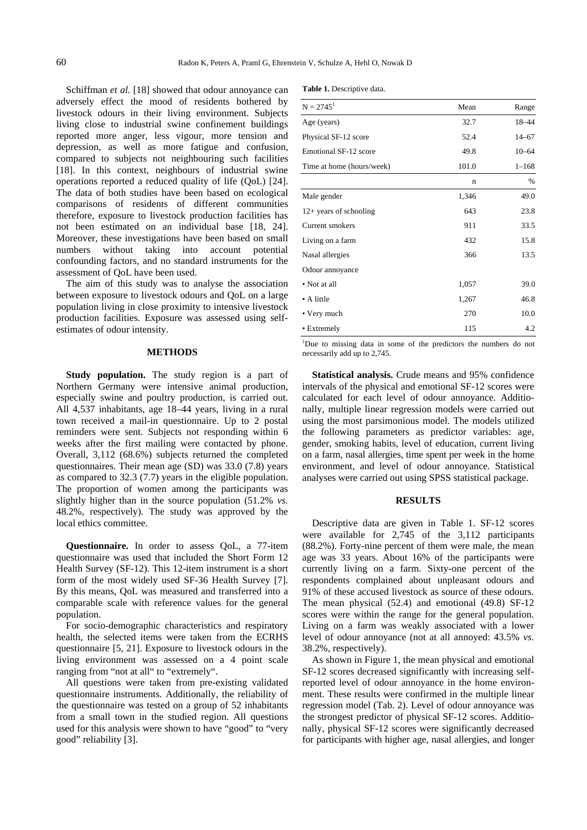Schiffman *et al.* [18] showed that odour annoyance can adversely effect the mood of residents bothered by livestock odours in their living environment. Subjects living close to industrial swine confinement buildings reported more anger, less vigour, more tension and depression, as well as more fatigue and confusion, compared to subjects not neighbouring such facilities [18]. In this context, neighbours of industrial swine operations reported a reduced quality of life (QoL) [24]. The data of both studies have been based on ecological comparisons of residents of different communities therefore, exposure to livestock production facilities has not been estimated on an individual base [18, 24]. Moreover, these investigations have been based on small numbers without taking into account potential confounding factors, and no standard instruments for the assessment of QoL have been used.

The aim of this study was to analyse the association between exposure to livestock odours and QoL on a large population living in close proximity to intensive livestock production facilities. Exposure was assessed using selfestimates of odour intensity.

## **METHODS**

**Study population.** The study region is a part of Northern Germany were intensive animal production, especially swine and poultry production, is carried out. All 4,537 inhabitants, age 18–44 years, living in a rural town received a mail-in questionnaire. Up to 2 postal reminders were sent. Subjects not responding within 6 weeks after the first mailing were contacted by phone. Overall, 3,112 (68.6%) subjects returned the completed questionnaires. Their mean age (SD) was 33.0 (7.8) years as compared to 32.3 (7.7) years in the eligible population. The proportion of women among the participants was slightly higher than in the source population (51.2% *vs.* 48.2%, respectively). The study was approved by the local ethics committee.

**Questionnaire.** In order to assess QoL, a 77-item questionnaire was used that included the Short Form 12 Health Survey (SF-12). This 12-item instrument is a short form of the most widely used SF-36 Health Survey [7]. By this means, QoL was measured and transferred into a comparable scale with reference values for the general population.

For socio-demographic characteristics and respiratory health, the selected items were taken from the ECRHS questionnaire [5, 21]. Exposure to livestock odours in the living environment was assessed on a 4 point scale ranging from "not at all" to "extremely".

All questions were taken from pre-existing validated questionnaire instruments. Additionally, the reliability of the questionnaire was tested on a group of 52 inhabitants from a small town in the studied region. All questions used for this analysis were shown to have "good" to "very good" reliability [3].

|  |  | Table 1. Descriptive data. |  |
|--|--|----------------------------|--|
|--|--|----------------------------|--|

| $N = 2745^1$                 | Mean  | Range     |
|------------------------------|-------|-----------|
| Age (years)                  | 32.7  | 18-44     |
| Physical SF-12 score         | 52.4  | $14 - 67$ |
| <b>Emotional SF-12 score</b> | 49.8  | $10 - 64$ |
| Time at home (hours/week)    | 101.0 | $1 - 168$ |
|                              | n     | $\%$      |
| Male gender                  | 1,346 | 49.0      |
| $12+$ years of schooling     | 643   | 23.8      |
| Current smokers              | 911   | 33.5      |
| Living on a farm             | 432   | 15.8      |
| Nasal allergies              | 366   | 13.5      |
| Odour annoyance              |       |           |
| • Not at all                 | 1,057 | 39.0      |
| • A little                   | 1,267 | 46.8      |
| • Very much                  | 270   | 10.0      |
| • Extremely                  | 115   | 4.2       |

<sup>1</sup>Due to missing data in some of the predictors the numbers do not necessarily add up to 2,745.

**Statistical analysis.** Crude means and 95% confidence intervals of the physical and emotional SF-12 scores were calculated for each level of odour annoyance. Additionally, multiple linear regression models were carried out using the most parsimonious model. The models utilized the following parameters as predictor variables: age, gender, smoking habits, level of education, current living on a farm, nasal allergies, time spent per week in the home environment, and level of odour annoyance. Statistical analyses were carried out using SPSS statistical package.

## **RESULTS**

Descriptive data are given in Table 1. SF-12 scores were available for 2,745 of the 3,112 participants (88.2%). Forty-nine percent of them were male, the mean age was 33 years. About 16% of the participants were currently living on a farm. Sixty-one percent of the respondents complained about unpleasant odours and 91% of these accused livestock as source of these odours. The mean physical (52.4) and emotional (49.8) SF-12 scores were within the range for the general population. Living on a farm was weakly associated with a lower level of odour annoyance (not at all annoyed: 43.5% *vs.* 38.2%, respectively).

As shown in Figure 1, the mean physical and emotional SF-12 scores decreased significantly with increasing selfreported level of odour annoyance in the home environment. These results were confirmed in the multiple linear regression model (Tab. 2). Level of odour annoyance was the strongest predictor of physical SF-12 scores. Additionally, physical SF-12 scores were significantly decreased for participants with higher age, nasal allergies, and longer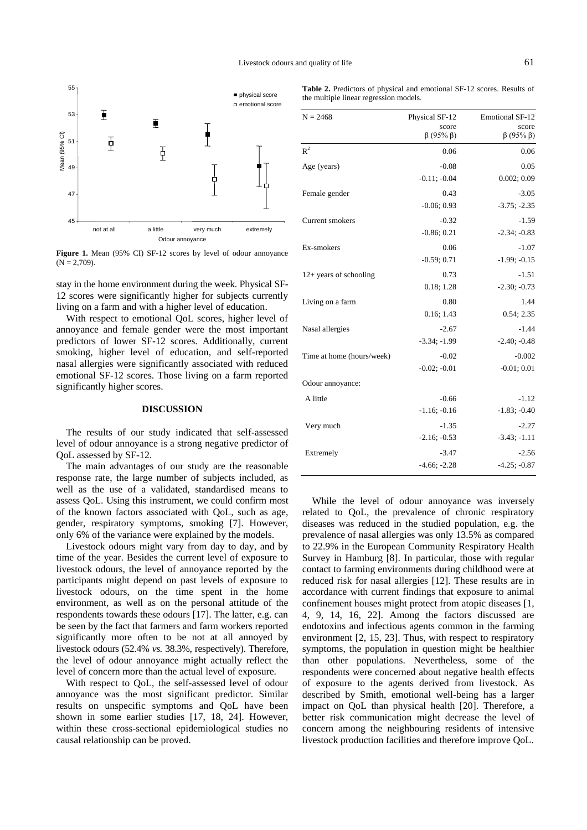

**Figure 1.** Mean (95% CI) SF-12 scores by level of odour annoyance  $(N = 2,709)$ .

stay in the home environment during the week. Physical SF-12 scores were significantly higher for subjects currently living on a farm and with a higher level of education.

With respect to emotional QoL scores, higher level of annoyance and female gender were the most important predictors of lower SF-12 scores. Additionally, current smoking, higher level of education, and self-reported nasal allergies were significantly associated with reduced emotional SF-12 scores. Those living on a farm reported significantly higher scores.

#### **DISCUSSION**

The results of our study indicated that self-assessed level of odour annoyance is a strong negative predictor of QoL assessed by SF-12.

The main advantages of our study are the reasonable response rate, the large number of subjects included, as well as the use of a validated, standardised means to assess QoL. Using this instrument, we could confirm most of the known factors associated with QoL, such as age, gender, respiratory symptoms, smoking [7]. However, only 6% of the variance were explained by the models.

Livestock odours might vary from day to day, and by time of the year. Besides the current level of exposure to livestock odours, the level of annoyance reported by the participants might depend on past levels of exposure to livestock odours, on the time spent in the home environment, as well as on the personal attitude of the respondents towards these odours [17]. The latter, e.g. can be seen by the fact that farmers and farm workers reported significantly more often to be not at all annoyed by livestock odours (52.4% *vs.* 38.3%, respectively). Therefore, the level of odour annoyance might actually reflect the level of concern more than the actual level of exposure.

With respect to QoL, the self-assessed level of odour annoyance was the most significant predictor. Similar results on unspecific symptoms and QoL have been shown in some earlier studies [17, 18, 24]. However, within these cross-sectional epidemiological studies no causal relationship can be proved.

| <b>Table 2.</b> Predictors of physical and emotional SF-12 scores. Results of |  |
|-------------------------------------------------------------------------------|--|
| the multiple linear regression models.                                        |  |

| $N = 2468$                | Physical SF-12<br>score<br>$\beta$ (95% $\beta$ ) | <b>Emotional SF-12</b><br>score<br>$\beta$ (95% $\beta$ ) |
|---------------------------|---------------------------------------------------|-----------------------------------------------------------|
| R <sup>2</sup>            | 0.06                                              | 0.06                                                      |
| Age (years)               | $-0.08$<br>$-0.11; -0.04$                         | 0.05<br>0.002; 0.09                                       |
| Female gender             | 0.43<br>$-0.06; 0.93$                             | $-3.05$<br>$-3.75; -2.35$                                 |
| Current smokers           | $-0.32$<br>$-0.86; 0.21$                          | $-1.59$<br>$-2.34; -0.83$                                 |
| Ex-smokers                | 0.06<br>$-0.59; 0.71$                             | $-1.07$<br>$-1.99; -0.15$                                 |
| $12+$ years of schooling  | 0.73<br>0.18; 1.28                                | $-1.51$<br>$-2.30; -0.73$                                 |
| Living on a farm          | 0.80<br>0.16:1.43                                 | 1.44<br>0.54:2.35                                         |
| Nasal allergies           | $-2.67$<br>$-3.34; -1.99$                         | $-1.44$<br>$-2.40; -0.48$                                 |
| Time at home (hours/week) | $-0.02$<br>$-0.02; -0.01$                         | $-0.002$<br>$-0.01; 0.01$                                 |
| Odour annoyance:          |                                                   |                                                           |
| A little                  | $-0.66$<br>$-1.16; -0.16$                         | $-1.12$<br>$-1.83; -0.40$                                 |
| Very much                 | $-1.35$<br>$-2.16; -0.53$                         | $-2.27$<br>$-3.43; -1.11$                                 |
| Extremely                 | $-3.47$<br>$-4.66; -2.28$                         | $-2.56$<br>$-4.25; -0.87$                                 |

While the level of odour annoyance was inversely related to QoL, the prevalence of chronic respiratory diseases was reduced in the studied population, e.g. the prevalence of nasal allergies was only 13.5% as compared to 22.9% in the European Community Respiratory Health Survey in Hamburg [8]. In particular, those with regular contact to farming environments during childhood were at reduced risk for nasal allergies [12]. These results are in accordance with current findings that exposure to animal confinement houses might protect from atopic diseases [1, 4, 9, 14, 16, 22]. Among the factors discussed are endotoxins and infectious agents common in the farming environment [2, 15, 23]. Thus, with respect to respiratory symptoms, the population in question might be healthier than other populations. Nevertheless, some of the respondents were concerned about negative health effects of exposure to the agents derived from livestock. As described by Smith, emotional well-being has a larger impact on QoL than physical health [20]. Therefore, a better risk communication might decrease the level of concern among the neighbouring residents of intensive livestock production facilities and therefore improve QoL.